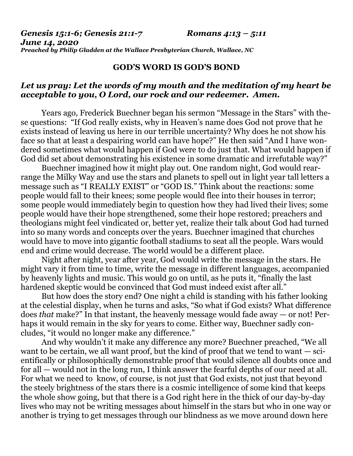*Genesis 15:1-6; Genesis 21:1-7 Romans 4:13 – 5:11*

*June 14, 2020 Preached by Philip Gladden at the Wallace Presbyterian Church, Wallace, NC*

## **GOD'S WORD IS GOD'S BOND**

## *Let us pray: Let the words of my mouth and the meditation of my heart be acceptable to you, O Lord, our rock and our redeemer. Amen.*

Years ago, Frederick Buechner began his sermon "Message in the Stars" with these questions: "If God really exists, why in Heaven's name does God not prove that he exists instead of leaving us here in our terrible uncertainty? Why does he not show his face so that at least a despairing world can have hope?" He then said "And I have wondered sometimes what would happen if God were to do just that. What would happen if God did set about demonstrating his existence in some dramatic and irrefutable way?"

Buechner imagined how it might play out. One random night, God would rearrange the Milky Way and use the stars and planets to spell out in light year tall letters a message such as "I REALLY EXIST" or "GOD IS." Think about the reactions: some people would fall to their knees; some people would flee into their houses in terror; some people would immediately begin to question how they had lived their lives; some people would have their hope strengthened, some their hope restored; preachers and theologians might feel vindicated or, better yet, realize their talk about God had turned into so many words and concepts over the years. Buechner imagined that churches would have to move into gigantic football stadiums to seat all the people. Wars would end and crime would decrease. The world would be a different place.

Night after night, year after year, God would write the message in the stars. He might vary it from time to time, write the message in different languages, accompanied by heavenly lights and music. This would go on until, as he puts it, "finally the last hardened skeptic would be convinced that God must indeed exist after all."

But how does the story end? One night a child is standing with his father looking at the celestial display, when he turns and asks, "So what if God exists? What difference does *that* make?" In that instant, the heavenly message would fade away — or not! Perhaps it would remain in the sky for years to come. Either way, Buechner sadly concludes, "it would no longer make any difference."

And why wouldn't it make any difference any more? Buechner preached, "We all want to be certain, we all want proof, but the kind of proof that we tend to want — scientifically or philosophically demonstrable proof that would silence all doubts once and for all — would not in the long run, I think answer the fearful depths of our need at all. For what we need to know, of course, is not just that God exists, not just that beyond the steely brightness of the stars there is a cosmic intelligence of some kind that keeps the whole show going, but that there is a God right here in the thick of our day-by-day lives who may not be writing messages about himself in the stars but who in one way or another is trying to get messages through our blindness as we move around down here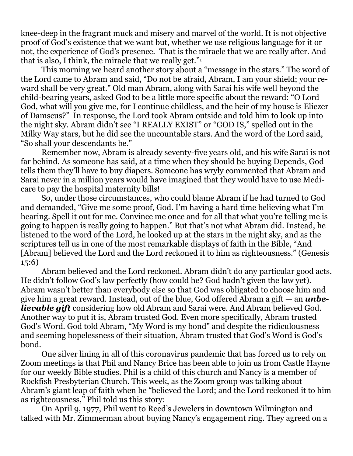knee-deep in the fragrant muck and misery and marvel of the world. It is not objective proof of God's existence that we want but, whether we use religious language for it or not, the experience of God's presence. That is the miracle that we are really after. And that is also, I think, the miracle that we really get."<sup>1</sup>

This morning we heard another story about a "message in the stars." The word of the Lord came to Abram and said, "Do not be afraid, Abram, I am your shield; your reward shall be very great." Old man Abram, along with Sarai his wife well beyond the child-bearing years, asked God to be a little more specific about the reward: "O Lord God, what will you give me, for I continue childless, and the heir of my house is Eliezer of Damscus?" In response, the Lord took Abram outside and told him to look up into the night sky. Abram didn't see "I REALLY EXIST" or "GOD IS," spelled out in the Milky Way stars, but he did see the uncountable stars. And the word of the Lord said, "So shall your descendants be."

Remember now, Abram is already seventy-five years old, and his wife Sarai is not far behind. As someone has said, at a time when they should be buying Depends, God tells them they'll have to buy diapers. Someone has wryly commented that Abram and Sarai never in a million years would have imagined that they would have to use Medicare to pay the hospital maternity bills!

So, under those circumstances, who could blame Abram if he had turned to God and demanded, "Give me some proof, God. I'm having a hard time believing what I'm hearing. Spell it out for me. Convince me once and for all that what you're telling me is going to happen is really going to happen." But that's not what Abram did. Instead, he listened to the word of the Lord, he looked up at the stars in the night sky, and as the scriptures tell us in one of the most remarkable displays of faith in the Bible, "And [Abram] believed the Lord and the Lord reckoned it to him as righteousness." (Genesis 15:6)

Abram believed and the Lord reckoned. Abram didn't do any particular good acts. He didn't follow God's law perfectly (how could he? God hadn't given the law yet). Abram wasn't better than everybody else so that God was obligated to choose him and give him a great reward. Instead, out of the blue, God offered Abram a gift — an *unbelievable gift* considering how old Abram and Sarai were. And Abram believed God. Another way to put it is, Abram trusted God. Even more specifically, Abram trusted God's Word. God told Abram, "My Word is my bond" and despite the ridiculousness and seeming hopelessness of their situation, Abram trusted that God's Word is God's bond.

One silver lining in all of this coronavirus pandemic that has forced us to rely on Zoom meetings is that Phil and Nancy Brice has been able to join us from Castle Hayne for our weekly Bible studies. Phil is a child of this church and Nancy is a member of Rockfish Presbyterian Church. This week, as the Zoom group was talking about Abram's giant leap of faith when he "believed the Lord; and the Lord reckoned it to him as righteousness," Phil told us this story:

On April 9, 1977, Phil went to Reed's Jewelers in downtown Wilmington and talked with Mr. Zimmerman about buying Nancy's engagement ring. They agreed on a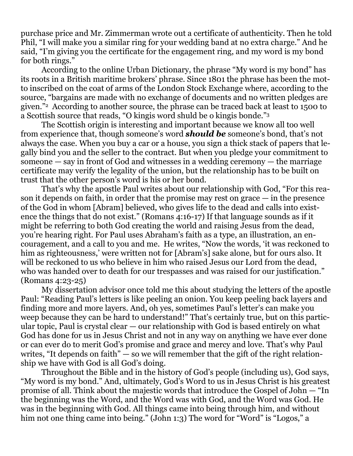purchase price and Mr. Zimmerman wrote out a certificate of authenticity. Then he told Phil, "I will make you a similar ring for your wedding band at no extra charge." And he said, "I'm giving you the certificate for the engagement ring, and my word is my bond for both rings."

According to the online Urban Dictionary, the phrase "My word is my bond" has its roots in a British maritime brokers' phrase. Since 1801 the phrase has been the motto inscribed on the coat of arms of the London Stock Exchange where, according to the source, "bargains are made with no exchange of documents and no written pledges are given."2 According to another source, the phrase can be traced back at least to 1500 to a Scottish source that reads, "O kingis word shuld be o kingis bonde."<sup>3</sup>

The Scottish origin is interesting and important because we know all too well from experience that, though someone's word *should be* someone's bond, that's not always the case. When you buy a car or a house, you sign a thick stack of papers that legally bind you and the seller to the contract. But when you pledge your commitment to someone — say in front of God and witnesses in a wedding ceremony — the marriage certificate may verify the legality of the union, but the relationship has to be built on trust that the other person's word is his or her bond.

That's why the apostle Paul writes about our relationship with God, "For this reason it depends on faith, in order that the promise may rest on grace — in the presence of the God in whom [Abram] believed, who gives life to the dead and calls into existence the things that do not exist." (Romans 4:16-17) If that language sounds as if it might be referring to both God creating the world and raising Jesus from the dead, you're hearing right. For Paul uses Abraham's faith as a type, an illustration, an encouragement, and a call to you and me. He writes, "Now the words, 'it was reckoned to him as righteousness,' were written not for [Abram's] sake alone, but for ours also. It will be reckoned to us who believe in him who raised Jesus our Lord from the dead, who was handed over to death for our trespasses and was raised for our justification." (Romans 4:23-25)

My dissertation advisor once told me this about studying the letters of the apostle Paul: "Reading Paul's letters is like peeling an onion. You keep peeling back layers and finding more and more layers. And, oh yes, sometimes Paul's letter's can make you weep because they can be hard to understand!" That's certainly true, but on this particular topic, Paul is crystal clear — our relationship with God is based entirely on what God has done for us in Jesus Christ and not in any way on anything we have ever done or can ever do to merit God's promise and grace and mercy and love. That's why Paul writes, "It depends on faith"  $-$  so we will remember that the gift of the right relationship we have with God is all God's doing.

Throughout the Bible and in the history of God's people (including us), God says, "My word is my bond." And, ultimately, God's Word to us in Jesus Christ is his greatest promise of all. Think about the majestic words that introduce the Gospel of John — "In the beginning was the Word, and the Word was with God, and the Word was God. He was in the beginning with God. All things came into being through him, and without him not one thing came into being." (John 1:3) The word for "Word" is "Logos," a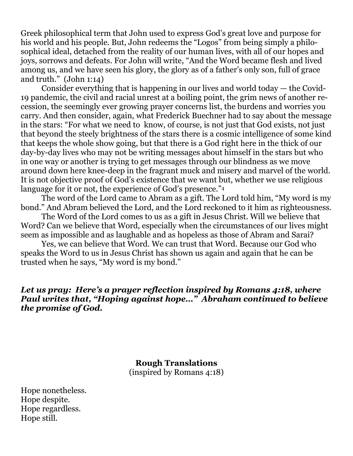Greek philosophical term that John used to express God's great love and purpose for his world and his people. But, John redeems the "Logos" from being simply a philosophical ideal, detached from the reality of our human lives, with all of our hopes and joys, sorrows and defeats. For John will write, "And the Word became flesh and lived among us, and we have seen his glory, the glory as of a father's only son, full of grace and truth." (John 1:14)

Consider everything that is happening in our lives and world today — the Covid-19 pandemic, the civil and racial unrest at a boiling point, the grim news of another recession, the seemingly ever growing prayer concerns list, the burdens and worries you carry. And then consider, again, what Frederick Buechner had to say about the message in the stars: "For what we need to know, of course, is not just that God exists, not just that beyond the steely brightness of the stars there is a cosmic intelligence of some kind that keeps the whole show going, but that there is a God right here in the thick of our day-by-day lives who may not be writing messages about himself in the stars but who in one way or another is trying to get messages through our blindness as we move around down here knee-deep in the fragrant muck and misery and marvel of the world. It is not objective proof of God's existence that we want but, whether we use religious language for it or not, the experience of God's presence."<sup>4</sup>

The word of the Lord came to Abram as a gift. The Lord told him, "My word is my bond." And Abram believed the Lord, and the Lord reckoned to it him as righteousness.

The Word of the Lord comes to us as a gift in Jesus Christ. Will we believe that Word? Can we believe that Word, especially when the circumstances of our lives might seem as impossible and as laughable and as hopeless as those of Abram and Sarai?

Yes, we can believe that Word. We can trust that Word. Because our God who speaks the Word to us in Jesus Christ has shown us again and again that he can be trusted when he says, "My word is my bond."

## *Let us pray: Here's a prayer reflection inspired by Romans 4:18, where Paul writes that, "Hoping against hope…" Abraham continued to believe the promise of God.*

**Rough Translations** (inspired by Romans 4:18)

Hope nonetheless. Hope despite. Hope regardless. Hope still.